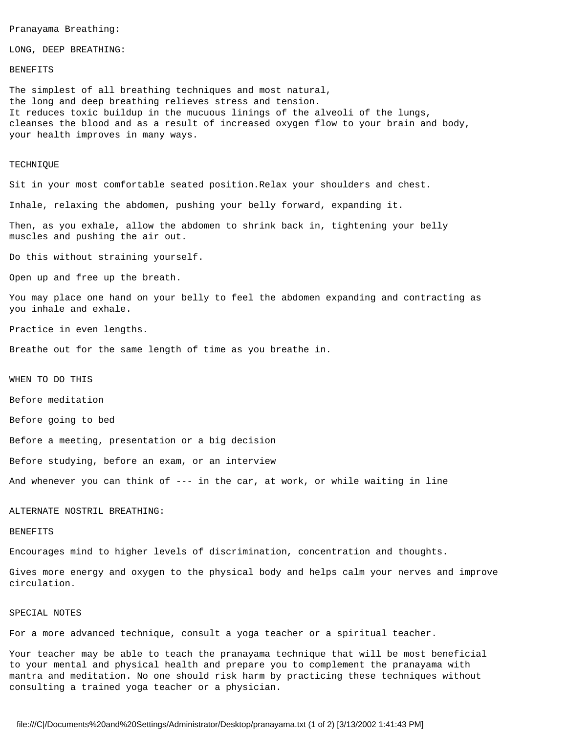```
Pranayama Breathing:
```
LONG, DEEP BREATHING:

## BENEFITS

The simplest of all breathing techniques and most natural, the long and deep breathing relieves stress and tension. It reduces toxic buildup in the mucuous linings of the alveoli of the lungs, cleanses the blood and as a result of increased oxygen flow to your brain and body, your health improves in many ways.

#### TECHNIQUE

Sit in your most comfortable seated position.Relax your shoulders and chest.

Inhale, relaxing the abdomen, pushing your belly forward, expanding it.

Then, as you exhale, allow the abdomen to shrink back in, tightening your belly muscles and pushing the air out.

Do this without straining yourself.

Open up and free up the breath.

You may place one hand on your belly to feel the abdomen expanding and contracting as you inhale and exhale.

Practice in even lengths.

Breathe out for the same length of time as you breathe in.

WHEN TO DO THIS

Before meditation

Before going to bed

Before a meeting, presentation or a big decision

Before studying, before an exam, or an interview

And whenever you can think of --- in the car, at work, or while waiting in line

## ALTERNATE NOSTRIL BREATHING:

#### BENEFITS

Encourages mind to higher levels of discrimination, concentration and thoughts.

Gives more energy and oxygen to the physical body and helps calm your nerves and improve circulation.

# SPECIAL NOTES

For a more advanced technique, consult a yoga teacher or a spiritual teacher.

Your teacher may be able to teach the pranayama technique that will be most beneficial to your mental and physical health and prepare you to complement the pranayama with mantra and meditation. No one should risk harm by practicing these techniques without consulting a trained yoga teacher or a physician.